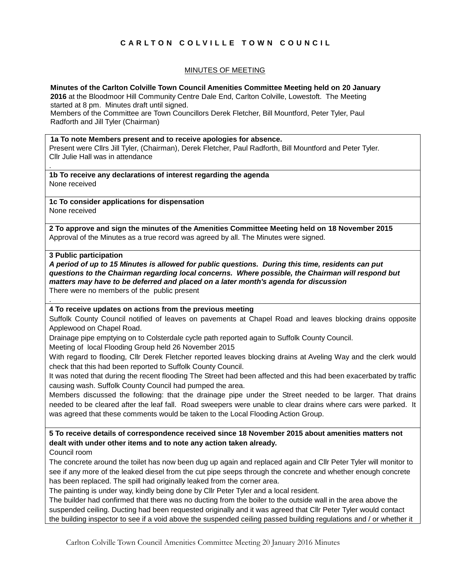# **C A R L T O N C O L V I L L E T O W N C O U N C I L**

# MINUTES OF MEETING

**Minutes of the Carlton Colville Town Council Amenities Committee Meeting held on 20 January** 

**2016** at the Bloodmoor Hill Community Centre Dale End, Carlton Colville, Lowestoft. The Meeting started at 8 pm. Minutes draft until signed.

Members of the Committee are Town Councillors Derek Fletcher, Bill Mountford, Peter Tyler, Paul Radforth and Jill Tyler (Chairman)

### **1a To note Members present and to receive apologies for absence.**

Present were Cllrs Jill Tyler, (Chairman), Derek Fletcher, Paul Radforth, Bill Mountford and Peter Tyler. Cllr Julie Hall was in attendance

**1b To receive any declarations of interest regarding the agenda** None received

**1c To consider applications for dispensation** None received

**2 To approve and sign the minutes of the Amenities Committee Meeting held on 18 November 2015** Approval of the Minutes as a true record was agreed by all. The Minutes were signed.

## **3 Public participation**

.

.

*A period of up to 15 Minutes is allowed for public questions. During this time, residents can put questions to the Chairman regarding local concerns. Where possible, the Chairman will respond but matters may have to be deferred and placed on a later month's agenda for discussion* There were no members of the public present

### **4 To receive updates on actions from the previous meeting**

Suffolk County Council notified of leaves on pavements at Chapel Road and leaves blocking drains opposite Applewood on Chapel Road.

Drainage pipe emptying on to Colsterdale cycle path reported again to Suffolk County Council.

Meeting of local Flooding Group held 26 November 2015

With regard to flooding, Cllr Derek Fletcher reported leaves blocking drains at Aveling Way and the clerk would check that this had been reported to Suffolk County Council.

It was noted that during the recent flooding The Street had been affected and this had been exacerbated by traffic causing wash. Suffolk County Council had pumped the area.

Members discussed the following: that the drainage pipe under the Street needed to be larger. That drains needed to be cleared after the leaf fall. Road sweepers were unable to clear drains where cars were parked. It was agreed that these comments would be taken to the Local Flooding Action Group.

**5 To receive details of correspondence received since 18 November 2015 about amenities matters not dealt with under other items and to note any action taken already.**

Council room

The concrete around the toilet has now been dug up again and replaced again and Cllr Peter Tyler will monitor to see if any more of the leaked diesel from the cut pipe seeps through the concrete and whether enough concrete has been replaced. The spill had originally leaked from the corner area.

The painting is under way, kindly being done by Cllr Peter Tyler and a local resident.

The builder had confirmed that there was no ducting from the boiler to the outside wall in the area above the suspended ceiling. Ducting had been requested originally and it was agreed that Cllr Peter Tyler would contact the building inspector to see if a void above the suspended ceiling passed building regulations and / or whether it

Carlton Colville Town Council Amenities Committee Meeting 20 January 2016 Minutes